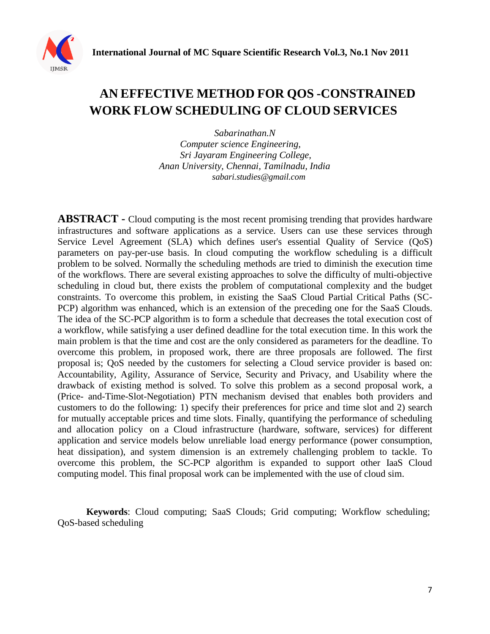# **AN EFFECTIVE METHOD FOR QOS -CONSTRAINED WORK FLOW SCHEDULING OF CLOUD SERVICES**

*Sabarinathan.N Computer science Engineering, Sri Jayaram Engineering College, Anan University, Chennai, Tamilnadu, India [sabari.studies@gmail.com](mailto:sabari.studies@gmail.com)*

**ABSTRACT -** Cloud computing is the most recent promising trending that provides hardware infrastructures and software applications as a service. Users can use these services through Service Level Agreement (SLA) which defines user's essential Quality of Service (QoS) parameters on pay-per-use basis. In cloud computing the workflow scheduling is a difficult problem to be solved. Normally the scheduling methods are tried to diminish the execution time of the workflows. There are several existing approaches to solve the difficulty of multi-objective scheduling in cloud but, there exists the problem of computational complexity and the budget constraints. To overcome this problem, in existing the SaaS Cloud Partial Critical Paths (SC-PCP) algorithm was enhanced, which is an extension of the preceding one for the SaaS Clouds. The idea of the SC-PCP algorithm is to form a schedule that decreases the total execution cost of a workflow, while satisfying a user defined deadline for the total execution time. In this work the main problem is that the time and cost are the only considered as parameters for the deadline. To overcome this problem, in proposed work, there are three proposals are followed. The first proposal is; QoS needed by the customers for selecting a Cloud service provider is based on: Accountability, Agility, Assurance of Service, Security and Privacy, and Usability where the drawback of existing method is solved. To solve this problem as a second proposal work, a (Price- and-Time-Slot-Negotiation) PTN mechanism devised that enables both providers and customers to do the following: 1) specify their preferences for price and time slot and 2) search for mutually acceptable prices and time slots. Finally, quantifying the performance of scheduling and allocation policy on a Cloud infrastructure (hardware, software, services) for different application and service models below unreliable load energy performance (power consumption, heat dissipation), and system dimension is an extremely challenging problem to tackle. To overcome this problem, the SC-PCP algorithm is expanded to support other IaaS Cloud computing model. This final proposal work can be implemented with the use of cloud sim.

**Keywords**: Cloud computing; SaaS Clouds; Grid computing; Workflow scheduling; QoS-based scheduling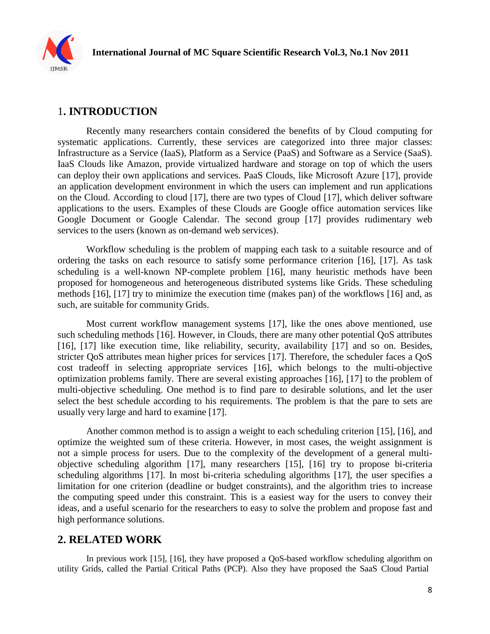

# 1**. INTRODUCTION**

Recently many researchers contain considered the benefits of by Cloud computing for systematic applications. Currently, these services are categorized into three major classes: Infrastructure as a Service (IaaS), Platform as a Service (PaaS) and Software as a Service (SaaS). IaaS Clouds like Amazon, provide virtualized hardware and storage on top of which the users can deploy their own applications and services. PaaS Clouds, like Microsoft Azure [17], provide an application development environment in which the users can implement and run applications on the Cloud. According to cloud [17], there are two types of Cloud [17], which deliver software applications to the users. Examples of these Clouds are Google office automation services like Google Document or Google Calendar. The second group [17] provides rudimentary web services to the users (known as on-demand web services).

Workflow scheduling is the problem of mapping each task to a suitable resource and of ordering the tasks on each resource to satisfy some performance criterion [16], [17]. As task scheduling is a well-known NP-complete problem [16], many heuristic methods have been proposed for homogeneous and heterogeneous distributed systems like Grids. These scheduling methods [16], [17] try to minimize the execution time (makes pan) of the workflows [16] and, as such, are suitable for community Grids.

Most current workflow management systems [17], like the ones above mentioned, use such scheduling methods [16]. However, in Clouds, there are many other potential QoS attributes [16], [17] like execution time, like reliability, security, availability [17] and so on. Besides, stricter QoS attributes mean higher prices for services [17]. Therefore, the scheduler faces a QoS cost tradeoff in selecting appropriate services [16], which belongs to the multi-objective optimization problems family. There are several existing approaches [16], [17] to the problem of multi-objective scheduling. One method is to find pare to desirable solutions, and let the user select the best schedule according to his requirements. The problem is that the pare to sets are usually very large and hard to examine [17].

Another common method is to assign a weight to each scheduling criterion [15], [16], and optimize the weighted sum of these criteria. However, in most cases, the weight assignment is not a simple process for users. Due to the complexity of the development of a general multiobjective scheduling algorithm [17], many researchers [15], [16] try to propose bi-criteria scheduling algorithms [17]. In most bi-criteria scheduling algorithms [17], the user specifies a limitation for one criterion (deadline or budget constraints), and the algorithm tries to increase the computing speed under this constraint. This is a easiest way for the users to convey their ideas, and a useful scenario for the researchers to easy to solve the problem and propose fast and high performance solutions.

## **2. RELATED WORK**

In previous work [15], [16], they have proposed a QoS-based workflow scheduling algorithm on utility Grids, called the Partial Critical Paths (PCP). Also they have proposed the SaaS Cloud Partial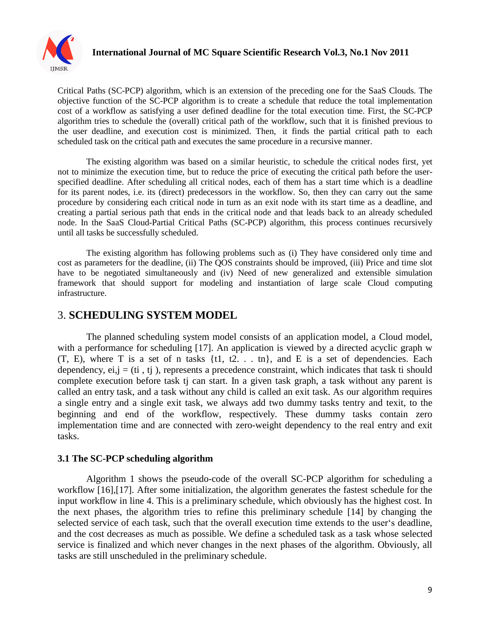

Critical Paths (SC-PCP) algorithm, which is an extension of the preceding one for the SaaS Clouds. The objective function of the SC-PCP algorithm is to create a schedule that reduce the total implementation cost of a workflow as satisfying a user defined deadline for the total execution time. First, the SC-PCP algorithm tries to schedule the (overall) critical path of the workflow, such that it is finished previous to the user deadline, and execution cost is minimized. Then, it finds the partial critical path to each scheduled task on the critical path and executes the same procedure in a recursive manner.

The existing algorithm was based on a similar heuristic, to schedule the critical nodes first, yet not to minimize the execution time, but to reduce the price of executing the critical path before the userspecified deadline. After scheduling all critical nodes, each of them has a start time which is a deadline for its parent nodes, i.e. its (direct) predecessors in the workflow. So, then they can carry out the same procedure by considering each critical node in turn as an exit node with its start time as a deadline, and creating a partial serious path that ends in the critical node and that leads back to an already scheduled node. In the SaaS Cloud-Partial Critical Paths (SC-PCP) algorithm, this process continues recursively until all tasks be successfully scheduled.

The existing algorithm has following problems such as (i) They have considered only time and cost as parameters for the deadline, (ii) The QOS constraints should be improved, (iii) Price and time slot have to be negotiated simultaneously and (iv) Need of new generalized and extensible simulation framework that should support for modeling and instantiation of large scale Cloud computing infrastructure.

### 3. **SCHEDULING SYSTEM MODEL**

The planned scheduling system model consists of an application model, a Cloud model, with a performance for scheduling [17]. An application is viewed by a directed acyclic graph w  $(T, E)$ , where T is a set of n tasks  $\{t1, t2, \ldots, tn\}$ , and E is a set of dependencies. Each dependency,  $ei, j = (ti, tj)$ , represents a precedence constraint, which indicates that task ti should complete execution before task tj can start. In a given task graph, a task without any parent is called an entry task, and a task without any child is called an exit task. As our algorithm requires a single entry and a single exit task, we always add two dummy tasks tentry and texit, to the beginning and end of the workflow, respectively. These dummy tasks contain zero implementation time and are connected with zero-weight dependency to the real entry and exit tasks.

#### **3.1 The SC-PCP scheduling algorithm**

Algorithm 1 shows the pseudo-code of the overall SC-PCP algorithm for scheduling a workflow [16],[17]. After some initialization, the algorithm generates the fastest schedule for the input workflow in line 4. This is a preliminary schedule, which obviously has the highest cost. In the next phases, the algorithm tries to refine this preliminary schedule [14] by changing the selected service of each task, such that the overall execution time extends to the user's deadline, and the cost decreases as much as possible. We define a scheduled task as a task whose selected service is finalized and which never changes in the next phases of the algorithm. Obviously, all tasks are still unscheduled in the preliminary schedule.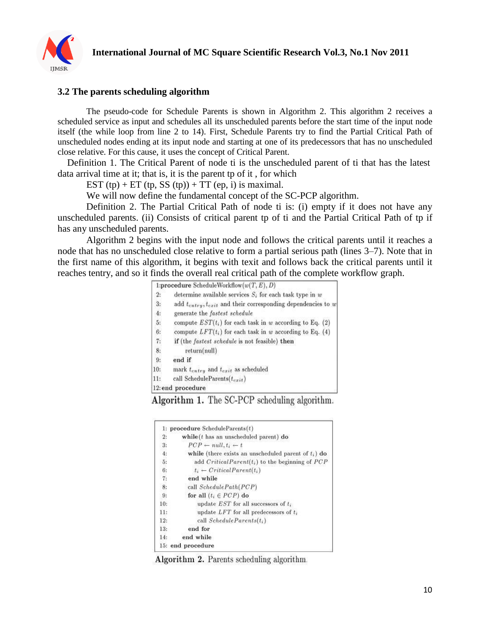

#### **3.2 The parents scheduling algorithm**

The pseudo-code for Schedule Parents is shown in Algorithm 2. This algorithm 2 receives a scheduled service as input and schedules all its unscheduled parents before the start time of the input node itself (the while loop from line 2 to 14). First, Schedule Parents try to find the Partial Critical Path of unscheduled nodes ending at its input node and starting at one of its predecessors that has no unscheduled close relative. For this cause, it uses the concept of Critical Parent.

Definition 1. The Critical Parent of node ti is the unscheduled parent of ti that has the latest data arrival time at it; that is, it is the parent tp of it , for which

EST (tp) + ET (tp, SS (tp)) + TT (ep, i) is maximal.

We will now define the fundamental concept of the SC-PCP algorithm.

Definition 2. The Partial Critical Path of node ti is: (i) empty if it does not have any unscheduled parents. (ii) Consists of critical parent tp of ti and the Partial Critical Path of tp if has any unscheduled parents.

Algorithm 2 begins with the input node and follows the critical parents until it reaches a node that has no unscheduled close relative to form a partial serious path (lines 3–7). Note that in the first name of this algorithm, it begins with texit and follows back the critical parents until it reaches tentry, and so it finds the overall real critical path of the complete workflow graph.

|     | 1:procedure ScheduleWorkflow $(w(T, E), D)$                         |
|-----|---------------------------------------------------------------------|
| 2:  | determine available services $S_i$ for each task type in w          |
| 3:  | add $t_{entry}, t_{exit}$ and their corresponding dependencies to w |
| 4:  | generate the fastest schedule                                       |
| 5:  | compute $EST(t_i)$ for each task in w according to Eq. (2)          |
| 6:  | compute $LFT(t_i)$ for each task in w according to Eq. (4)          |
| 7:  | if (the <i>fastest schedule</i> is not feasible) then               |
| 8:  | return(null)                                                        |
| 9:  | end if                                                              |
| 10: | mark $t_{entry}$ and $t_{exit}$ as scheduled                        |
| 11: | call ScheduleParents $(t_{exit})$                                   |
|     | 12: end procedure                                                   |

Algorithm 1. The SC-PCP scheduling algorithm.

| Ŀ.  | procedure ScheduleParents(t)                            |
|-----|---------------------------------------------------------|
| 2:  | while $(t$ has an unscheduled parent) do                |
| 3:  | $PCP \leftarrow null, t_i \leftarrow t$                 |
| 4:  | while (there exists an unscheduled parent of $t_i$ ) do |
| 5:  | add $CriticalParent(t_i)$ to the beginning of $PCP$     |
| 6:  | $t_i \leftarrow CriticalParent(t_i)$                    |
| 7:  | end while                                               |
| 8:  | call SchedulePath(PCP)                                  |
| 9:  | for all $(t_i \in PCP)$ do                              |
| 10: | update $EST$ for all successors of $t_i$                |
| 11: | update $LFT$ for all predecessors of $t_i$              |
| 12: | call $ScheduleParents(t_i)$                             |
| 13: | end for                                                 |
| 14: | end while                                               |
|     | 15: end procedure                                       |

Algorithm 2. Parents scheduling algorithm.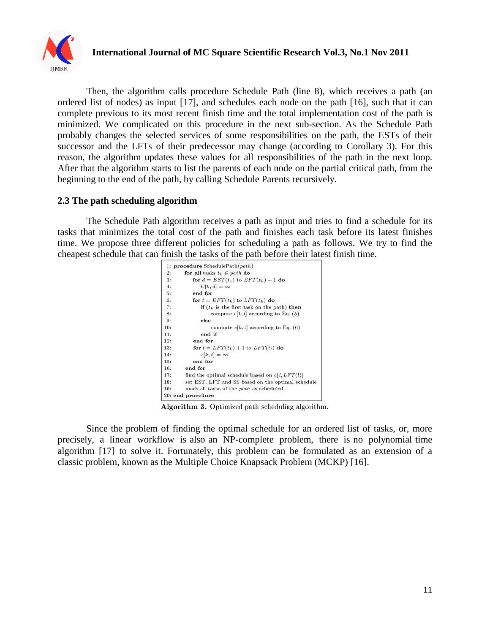

Then, the algorithm calls procedure Schedule Path (line 8), which receives a path (an ordered list of nodes) as input [17], and schedules each node on the path [16], such that it can complete previous to its most recent finish time and the total implementation cost of the path is minimized. We complicated on this procedure in the next sub-section. As the Schedule Path probably changes the selected services of some responsibilities on the path, the ESTs of their successor and the LFTs of their predecessor may change (according to Corollary 3). For this reason, the algorithm updates these values for all responsibilities of the path in the next loop. After that the algorithm starts to list the parents of each node on the partial critical path, from the beginning to the end of the path, by calling Schedule Parents recursively.

#### **2.3 The path scheduling algorithm**

The Schedule Path algorithm receives a path as input and tries to find a schedule for its tasks that minimizes the total cost of the path and finishes each task before its latest finishes time. We propose three different policies for scheduling a path as follows. We try to find the cheapest schedule that can finish the tasks of the path before their latest finish time.



Algorithm 3. Optimized path scheduling algorithm.

Since the problem of finding the optimal schedule for an ordered list of tasks, or, more precisely, a linear workflow is also an NP-complete problem, there is no polynomial time algorithm [17] to solve it. Fortunately, this problem can be formulated as an extension of a classic problem, known as the Multiple Choice Knapsack Problem (MCKP) [16].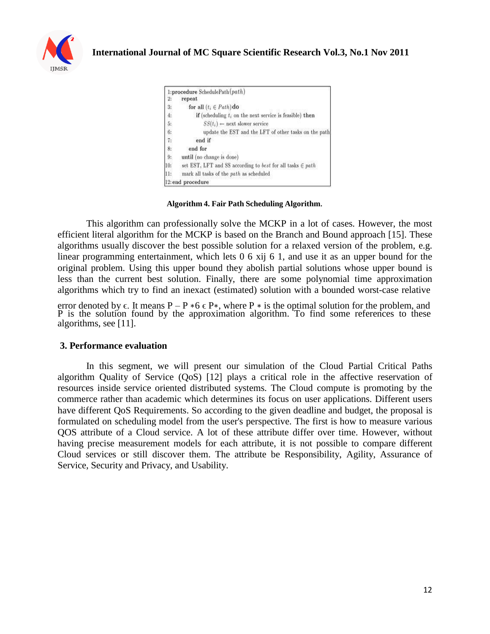

|     | 1:procedure SchedulePath $(path)$                              |
|-----|----------------------------------------------------------------|
| 2:  | repeat                                                         |
| 3:  | for all $(t_i \in Path)$ do                                    |
| 4.  | if (scheduling $t_i$ on the next service is feasible) then     |
| 5:  | $SS(t_i) \leftarrow$ next slower service                       |
| 6:  | update the EST and the LFT of other tasks on the path          |
| 7,  | end if                                                         |
| 8:  | end for                                                        |
| 9:  | until (no change is done)                                      |
| 10: | set EST, LFT and SS according to best for all tasks $\in$ path |
| 11: | mark all tasks of the path as scheduled                        |
|     | 12: end procedure                                              |

**Algorithm 4. Fair Path Scheduling Algorithm**.

This algorithm can professionally solve the MCKP in a lot of cases. However, the most efficient literal algorithm for the MCKP is based on the Branch and Bound approach [15]. These algorithms usually discover the best possible solution for a relaxed version of the problem, e.g. linear programming entertainment, which lets 0 6 xij 6 1, and use it as an upper bound for the original problem. Using this upper bound they abolish partial solutions whose upper bound is less than the current best solution. Finally, there are some polynomial time approximation algorithms which try to find an inexact (estimated) solution with a bounded worst-case relative

error denoted by  $\epsilon$ . It means P – P  $*6 \epsilon$  P $*$ , where P  $*$  is the optimal solution for the problem, and P is the solution found by the approximation algorithm. To find some references to these algorithms, see [11].

#### **3. Performance evaluation**

In this segment, we will present our simulation of the Cloud Partial Critical Paths algorithm Quality of Service (QoS) [12] plays a critical role in the affective reservation of resources inside service oriented distributed systems. The Cloud compute is promoting by the commerce rather than academic which determines its focus on user applications. Different users have different QoS Requirements. So according to the given deadline and budget, the proposal is formulated on scheduling model from the user's perspective. The first is how to measure various QOS attribute of a Cloud service. A lot of these attribute differ over time. However, without having precise measurement models for each attribute, it is not possible to compare different Cloud services or still discover them. The attribute be Responsibility, Agility, Assurance of Service, Security and Privacy, and Usability.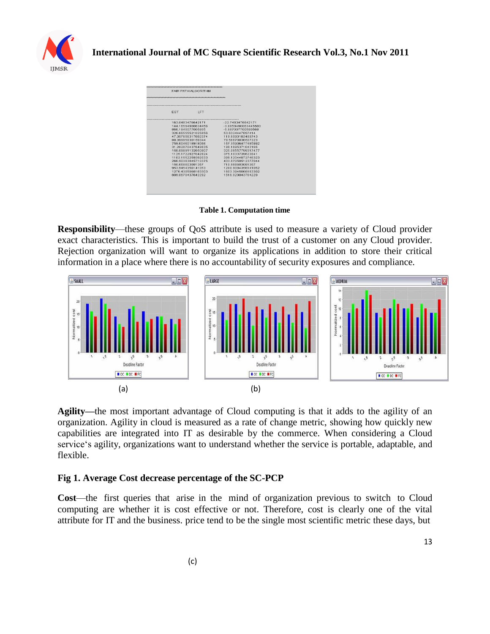

| <b>FST</b><br><b>IFT</b> |                      |  |
|--------------------------|----------------------|--|
| 163 0483476642171        | $-227483476642171$   |  |
| 144 16594900634456       | $-38659490063445503$ |  |
| 866.1840077005805        | $-5.887007700580568$ |  |
| 326 66555521025856       | 536324447897414      |  |
| 47 357656317692374       | 119 6090103489743    |  |
| 88.39995830159344        | 78.56670836507323    |  |
| 759 6046018918066        | 16735906477485992    |  |
| 31 202870437649835       | 198 1695371043165    |  |
| 158.09891132650807       | 325.06557799317477   |  |
| 11251722927042824        | 3751033739623841     |  |
| 1102 1552259392033       | 398 12044072746323   |  |
| 266 90383845710375       | 43387050512377044    |  |
| 150 668603081367         | 710 966603081367     |  |
| 953 9454356141053        | 1280.9094356141052   |  |
| 1276 4305068183303       | 16033945068183302    |  |
| 809 0670437642292        | 1616 029043764229    |  |

**Table 1. Computation time**

**Responsibility**—these groups of QoS attribute is used to measure a variety of Cloud provider exact characteristics. This is important to build the trust of a customer on any Cloud provider. Rejection organization will want to organize its applications in addition to store their critical information in a place where there is no accountability of security exposures and compliance.



**Agility—**the most important advantage of Cloud computing is that it adds to the agility of an organization. Agility in cloud is measured as a rate of change metric, showing how quickly new capabilities are integrated into IT as desirable by the commerce. When considering a Cloud service's agility, organizations want to understand whether the service is portable, adaptable, and flexible.

#### **Fig 1. Average Cost decrease percentage of the SC-PCP**

**Cost**—the first queries that arise in the mind of organization previous to switch to Cloud computing are whether it is cost effective or not. Therefore, cost is clearly one of the vital attribute for IT and the business. price tend to be the single most scientific metric these days, but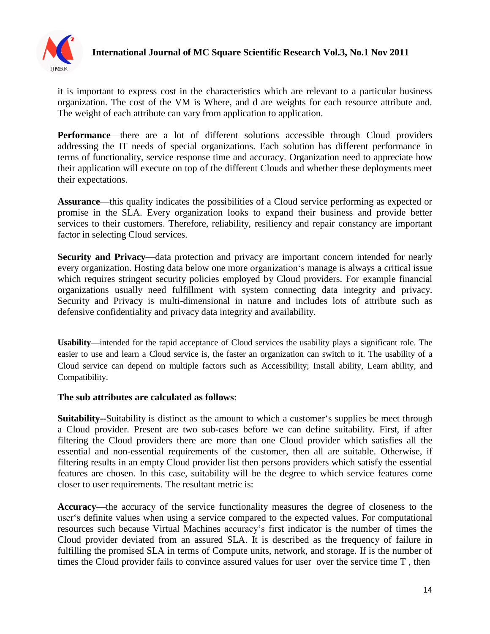

# **International Journal of MC Square Scientific Research Vol.3, No.1 Nov 2011**

it is important to express cost in the characteristics which are relevant to a particular business organization. The cost of the VM is Where, and d are weights for each resource attribute and. The weight of each attribute can vary from application to application.

**Performance—there are a lot of different solutions accessible through Cloud providers** addressing the IT needs of special organizations. Each solution has different performance in terms of functionality, service response time and accuracy. Organization need to appreciate how their application will execute on top of the different Clouds and whether these deployments meet their expectations.

**Assurance**—this quality indicates the possibilities of a Cloud service performing as expected or promise in the SLA. Every organization looks to expand their business and provide better services to their customers. Therefore, reliability, resiliency and repair constancy are important factor in selecting Cloud services.

**Security and Privacy**—data protection and privacy are important concern intended for nearly every organization. Hosting data below one more organization's manage is always a critical issue which requires stringent security policies employed by Cloud providers. For example financial organizations usually need fulfillment with system connecting data integrity and privacy. Security and Privacy is multi-dimensional in nature and includes lots of attribute such as defensive confidentiality and privacy data integrity and availability.

**Usability**—intended for the rapid acceptance of Cloud services the usability plays a significant role. The easier to use and learn a Cloud service is, the faster an organization can switch to it. The usability of a Cloud service can depend on multiple factors such as Accessibility; Install ability, Learn ability, and Compatibility.

#### **The sub attributes are calculated as follows**:

**Suitability--**Suitability is distinct as the amount to which a customer's supplies be meet through a Cloud provider. Present are two sub-cases before we can define suitability. First, if after filtering the Cloud providers there are more than one Cloud provider which satisfies all the essential and non-essential requirements of the customer, then all are suitable. Otherwise, if filtering results in an empty Cloud provider list then persons providers which satisfy the essential features are chosen. In this case, suitability will be the degree to which service features come closer to user requirements. The resultant metric is:

**Accuracy**—the accuracy of the service functionality measures the degree of closeness to the user's definite values when using a service compared to the expected values. For computational resources such because Virtual Machines accuracy's first indicator is the number of times the Cloud provider deviated from an assured SLA. It is described as the frequency of failure in fulfilling the promised SLA in terms of Compute units, network, and storage. If is the number of times the Cloud provider fails to convince assured values for user over the service time T , then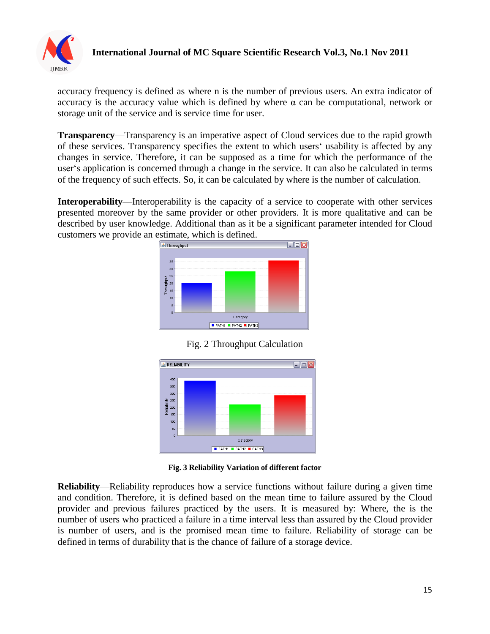

#### **International Journal of MC Square Scientific Research Vol.3, No.1 Nov 2011**

accuracy frequency is defined as where n is the number of previous users. An extra indicator of accuracy is the accuracy value which is defined by where  $\alpha$  can be computational, network or storage unit of the service and is service time for user.

**Transparency**—Transparency is an imperative aspect of Cloud services due to the rapid growth of these services. Transparency specifies the extent to which users' usability is affected by any changes in service. Therefore, it can be supposed as a time for which the performance of the user's application is concerned through a change in the service. It can also be calculated in terms of the frequency of such effects. So, it can be calculated by where is the number of calculation.

**Interoperability**—Interoperability is the capacity of a service to cooperate with other services presented moreover by the same provider or other providers. It is more qualitative and can be described by user knowledge. Additional than as it be a significant parameter intended for Cloud customers we provide an estimate, which is defined.



Fig. 2 Throughput Calculation



**Fig. 3 Reliability Variation of different factor**

**Reliability**—Reliability reproduces how a service functions without failure during a given time and condition. Therefore, it is defined based on the mean time to failure assured by the Cloud provider and previous failures practiced by the users. It is measured by: Where, the is the number of users who practiced a failure in a time interval less than assured by the Cloud provider is number of users, and is the promised mean time to failure. Reliability of storage can be defined in terms of durability that is the chance of failure of a storage device.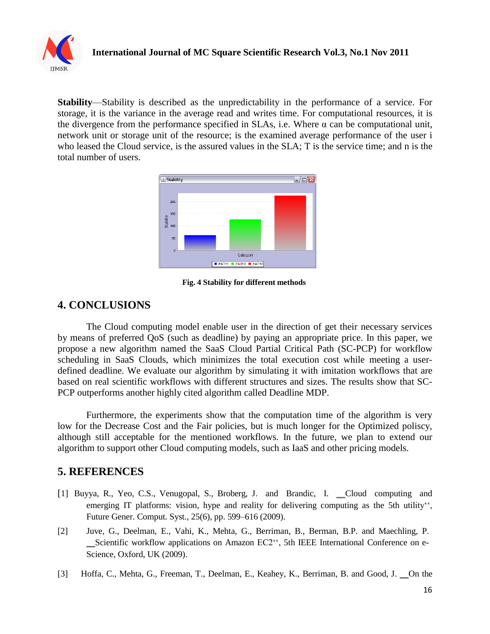

**Stability**—Stability is described as the unpredictability in the performance of a service. For storage, it is the variance in the average read and writes time. For computational resources, it is the divergence from the performance specified in SLAs, i.e. Where  $\alpha$  can be computational unit, network unit or storage unit of the resource; is the examined average performance of the user i who leased the Cloud service, is the assured values in the SLA; T is the service time; and n is the total number of users.



**Fig. 4 Stability for different methods**

# **4. CONCLUSIONS**

The Cloud computing model enable user in the direction of get their necessary services by means of preferred QoS (such as deadline) by paying an appropriate price. In this paper, we propose a new algorithm named the SaaS Cloud Partial Critical Path (SC-PCP) for workflow scheduling in SaaS Clouds, which minimizes the total execution cost while meeting a userdefined deadline. We evaluate our algorithm by simulating it with imitation workflows that are based on real scientific workflows with different structures and sizes. The results show that SC-PCP outperforms another highly cited algorithm called Deadline MDP.

Furthermore, the experiments show that the computation time of the algorithm is very low for the Decrease Cost and the Fair policies, but is much longer for the Optimized poliscy, although still acceptable for the mentioned workflows. In the future, we plan to extend our algorithm to support other Cloud computing models, such as IaaS and other pricing models.

## **5. REFERENCES**

- [1] Buyya, R., Yeo, C.S., Venugopal, S., Broberg, J. and Brandic, I. \_Cloud computing and emerging IT platforms: vision, hype and reality for delivering computing as the 5th utility", Future Gener. Comput. Syst., 25(6), pp. 599–616 (2009).
- [2] Juve, G., Deelman, E., Vahi, K., Mehta, G., Berriman, B., Berman, B.P. and Maechling, P. ‗‗Scientific workflow applications on Amazon EC2'', 5th IEEE International Conference on e-Science, Oxford, UK (2009).
- [3] Hoffa, C., Mehta, G., Freeman, T., Deelman, E., Keahey, K., Berriman, B. and Good, J. On the